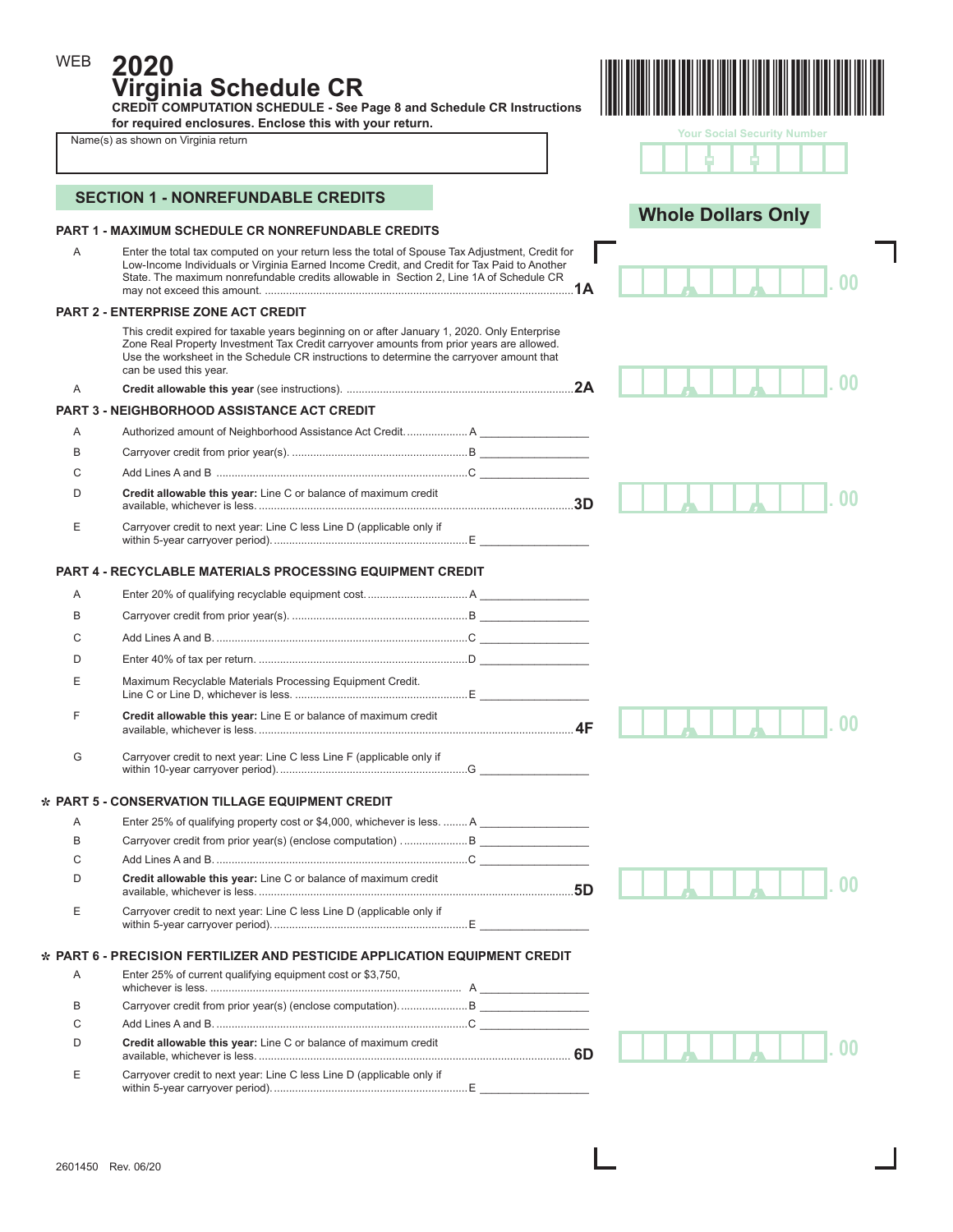**2020**

WEB

**Virginia Schedule CR CREDIT COMPUTATION SCHEDULE - See Page 8 and Schedule CR Instructions for required enclosures. Enclose this with your return.** 



|   | Name(s) as shown on Virginia return                                                                                                                                                                                                                                                                            | <b>Your Social Security Number</b> |
|---|----------------------------------------------------------------------------------------------------------------------------------------------------------------------------------------------------------------------------------------------------------------------------------------------------------------|------------------------------------|
|   | <b>SECTION 1 - NONREFUNDABLE CREDITS</b>                                                                                                                                                                                                                                                                       |                                    |
|   | PART 1 - MAXIMUM SCHEDULE CR NONREFUNDABLE CREDITS                                                                                                                                                                                                                                                             | <b>Whole Dollars Only</b>          |
| A | Enter the total tax computed on your return less the total of Spouse Tax Adjustment, Credit for<br>Low-Income Individuals or Virginia Earned Income Credit, and Credit for Tax Paid to Another<br>State. The maximum nonrefundable credits allowable in Section 2, Line 1A of Schedule CR                      |                                    |
|   | <b>PART 2 - ENTERPRISE ZONE ACT CREDIT</b>                                                                                                                                                                                                                                                                     |                                    |
|   | This credit expired for taxable years beginning on or after January 1, 2020. Only Enterprise<br>Zone Real Property Investment Tax Credit carryover amounts from prior years are allowed.<br>Use the worksheet in the Schedule CR instructions to determine the carryover amount that<br>can be used this year. |                                    |
| A |                                                                                                                                                                                                                                                                                                                |                                    |
|   | <b>PART 3 - NEIGHBORHOOD ASSISTANCE ACT CREDIT</b>                                                                                                                                                                                                                                                             |                                    |
| Α |                                                                                                                                                                                                                                                                                                                |                                    |
| B |                                                                                                                                                                                                                                                                                                                |                                    |
| C |                                                                                                                                                                                                                                                                                                                |                                    |
| D | Credit allowable this year: Line C or balance of maximum credit                                                                                                                                                                                                                                                |                                    |
| Е | Carryover credit to next year: Line C less Line D (applicable only if                                                                                                                                                                                                                                          |                                    |
|   | <b>PART 4 - RECYCLABLE MATERIALS PROCESSING EQUIPMENT CREDIT</b>                                                                                                                                                                                                                                               |                                    |
| A |                                                                                                                                                                                                                                                                                                                |                                    |
| В |                                                                                                                                                                                                                                                                                                                |                                    |
| С |                                                                                                                                                                                                                                                                                                                |                                    |
| D |                                                                                                                                                                                                                                                                                                                |                                    |
|   |                                                                                                                                                                                                                                                                                                                |                                    |
| E | Maximum Recyclable Materials Processing Equipment Credit.                                                                                                                                                                                                                                                      |                                    |
| F | Credit allowable this year: Line E or balance of maximum credit                                                                                                                                                                                                                                                |                                    |
| G | Carryover credit to next year: Line C less Line F (applicable only if                                                                                                                                                                                                                                          |                                    |
|   | * PART 5 - CONSERVATION TILLAGE EQUIPMENT CREDIT                                                                                                                                                                                                                                                               |                                    |
| Α | Enter 25% of qualifying property cost or \$4,000, whichever is less.  A                                                                                                                                                                                                                                        |                                    |
| В | Carryover credit from prior year(s) (enclose computation) B                                                                                                                                                                                                                                                    |                                    |
| С |                                                                                                                                                                                                                                                                                                                |                                    |
| D | Credit allowable this year: Line C or balance of maximum credit                                                                                                                                                                                                                                                |                                    |
| Е | Carryover credit to next year: Line C less Line D (applicable only if                                                                                                                                                                                                                                          |                                    |
|   | * PART 6 - PRECISION FERTILIZER AND PESTICIDE APPLICATION EQUIPMENT CREDIT                                                                                                                                                                                                                                     |                                    |
| Α | Enter 25% of current qualifying equipment cost or \$3,750,                                                                                                                                                                                                                                                     |                                    |
| В |                                                                                                                                                                                                                                                                                                                |                                    |
| С |                                                                                                                                                                                                                                                                                                                |                                    |
| D | Credit allowable this year: Line C or balance of maximum credit                                                                                                                                                                                                                                                |                                    |
| Ε | Carryover credit to next year: Line C less Line D (applicable only if                                                                                                                                                                                                                                          |                                    |

within 5-year carryover period).................................................................E \_\_\_\_\_\_\_\_\_\_\_\_\_\_\_\_\_\_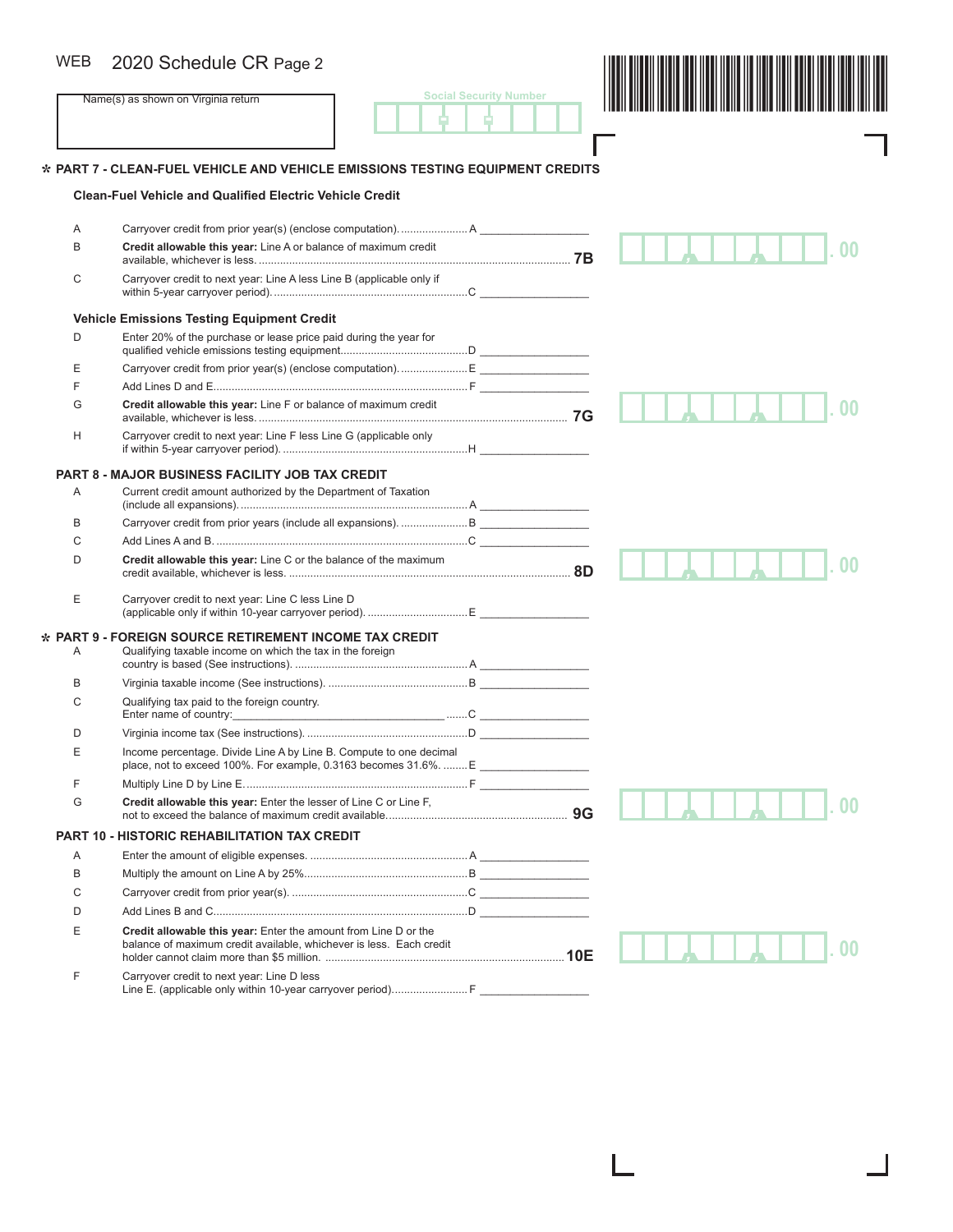# WEB 2020 Schedule CR Page 2

| <b>WEB</b> | 2020 Schedule CR Page 2                                                                                                   |                               |  |
|------------|---------------------------------------------------------------------------------------------------------------------------|-------------------------------|--|
|            | Name(s) as shown on Virginia return                                                                                       | <b>Social Security Number</b> |  |
|            |                                                                                                                           |                               |  |
|            | * PART 7 - CLEAN-FUEL VEHICLE AND VEHICLE EMISSIONS TESTING EQUIPMENT CREDITS                                             |                               |  |
|            | <b>Clean-Fuel Vehicle and Qualified Electric Vehicle Credit</b>                                                           |                               |  |
|            |                                                                                                                           |                               |  |
| Α          | Carryover credit from prior year(s) (enclose computation).  A                                                             |                               |  |
| B          | Credit allowable this year: Line A or balance of maximum credit                                                           |                               |  |
| С          | Carryover credit to next year: Line A less Line B (applicable only if                                                     |                               |  |
|            | <b>Vehicle Emissions Testing Equipment Credit</b>                                                                         |                               |  |
| D          | Enter 20% of the purchase or lease price paid during the year for                                                         |                               |  |
|            |                                                                                                                           |                               |  |
| Е          |                                                                                                                           |                               |  |
| F          |                                                                                                                           |                               |  |
| G          | Credit allowable this year: Line F or balance of maximum credit                                                           |                               |  |
| н          | Carryover credit to next year: Line F less Line G (applicable only                                                        |                               |  |
|            | <b>PART 8 - MAJOR BUSINESS FACILITY JOB TAX CREDIT</b>                                                                    |                               |  |
| Α          | Current credit amount authorized by the Department of Taxation                                                            |                               |  |
| В          |                                                                                                                           |                               |  |
| C          |                                                                                                                           |                               |  |
| D          | Credit allowable this year: Line C or the balance of the maximum                                                          |                               |  |
| E          | Carryover credit to next year: Line C less Line D                                                                         |                               |  |
|            |                                                                                                                           |                               |  |
| Α          | $\star$ PART 9 - FOREIGN SOURCE RETIREMENT INCOME TAX CREDIT<br>Qualifying taxable income on which the tax in the foreign |                               |  |
| B          |                                                                                                                           |                               |  |
| С          | Qualifying tax paid to the foreign country.                                                                               |                               |  |
| D          |                                                                                                                           |                               |  |
| F          | Income percentage. Divide Line A by Line B. Compute to one decimal                                                        |                               |  |
|            | place, not to exceed 100%. For example, 0.3163 becomes 31.6%.  E                                                          |                               |  |
| F          |                                                                                                                           |                               |  |
| G          | Credit allowable this year: Enter the lesser of Line C or Line F,                                                         |                               |  |
|            | <b>PART 10 - HISTORIC REHABILITATION TAX CREDIT</b>                                                                       |                               |  |
| Α          |                                                                                                                           |                               |  |
| B          |                                                                                                                           |                               |  |
| C          |                                                                                                                           |                               |  |
| D          |                                                                                                                           |                               |  |
| Е          | Credit allowable this year: Enter the amount from Line D or the                                                           |                               |  |
|            | balance of maximum credit available, whichever is less. Each credit                                                       |                               |  |
| F          | Carryover credit to next year: Line D less<br>Line E. (applicable only within 10-year carryover period) F                 |                               |  |

ı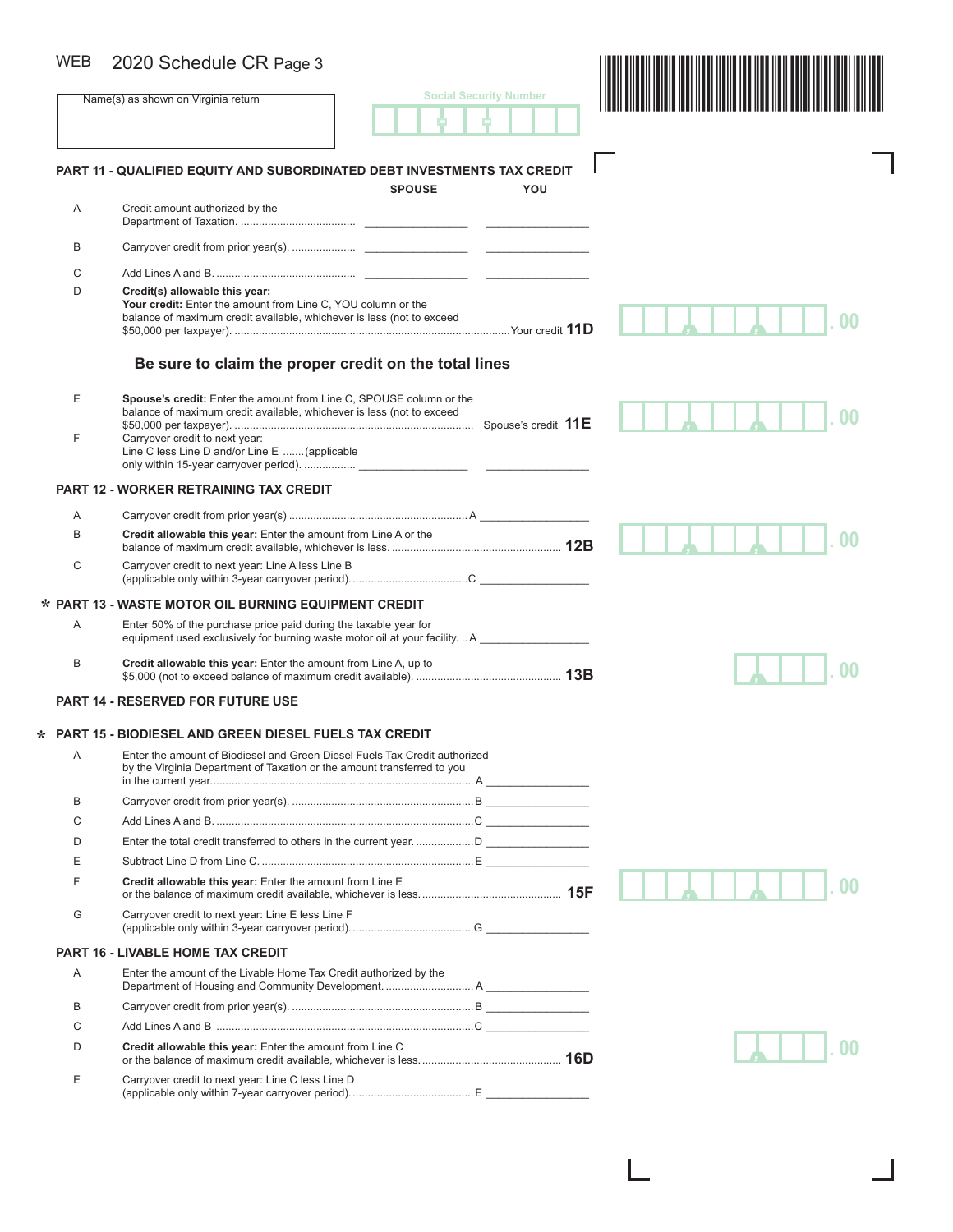# WEB 2020 Schedule CR Page 3

| <b>WEB</b> | 2020 Schedule CR Page 3                                                                                                                                                 |               |                               |  |
|------------|-------------------------------------------------------------------------------------------------------------------------------------------------------------------------|---------------|-------------------------------|--|
|            | Name(s) as shown on Virginia return                                                                                                                                     |               | <b>Social Security Number</b> |  |
|            |                                                                                                                                                                         |               |                               |  |
|            | <b>PART 11 - QUALIFIED EQUITY AND SUBORDINATED DEBT INVESTMENTS TAX CREDIT</b>                                                                                          | <b>SPOUSE</b> | YOU                           |  |
| A          | Credit amount authorized by the                                                                                                                                         |               |                               |  |
| B          |                                                                                                                                                                         |               |                               |  |
| C          |                                                                                                                                                                         |               |                               |  |
| D          | Credit(s) allowable this year:<br>Your credit: Enter the amount from Line C, YOU column or the<br>balance of maximum credit available, whichever is less (not to exceed |               |                               |  |
|            | Be sure to claim the proper credit on the total lines                                                                                                                   |               |                               |  |
| Е          | Spouse's credit: Enter the amount from Line C, SPOUSE column or the<br>balance of maximum credit available, whichever is less (not to exceed                            |               |                               |  |
| F          | Carryover credit to next year:<br>Line C less Line D and/or Line E  (applicable                                                                                         |               |                               |  |
|            | <b>PART 12 - WORKER RETRAINING TAX CREDIT</b>                                                                                                                           |               |                               |  |
| A          |                                                                                                                                                                         |               |                               |  |
| B          | Credit allowable this year: Enter the amount from Line A or the                                                                                                         |               |                               |  |
| C          | Carryover credit to next year: Line A less Line B                                                                                                                       |               |                               |  |
|            | * PART 13 - WASTE MOTOR OIL BURNING EQUIPMENT CREDIT                                                                                                                    |               |                               |  |
| A          | Enter 50% of the purchase price paid during the taxable year for<br>equipment used exclusively for burning waste motor oil at your facility.  A                         |               |                               |  |
| B          | Credit allowable this year: Enter the amount from Line A, up to                                                                                                         |               |                               |  |
|            | <b>PART 14 - RESERVED FOR FUTURE USE</b>                                                                                                                                |               |                               |  |
|            | * PART 15 - BIODIESEL AND GREEN DIESEL FUELS TAX CREDIT                                                                                                                 |               |                               |  |
| Α          | Enter the amount of Biodiesel and Green Diesel Fuels Tax Credit authorized<br>by the Virginia Department of Taxation or the amount transferred to you                   |               |                               |  |
| B          |                                                                                                                                                                         |               |                               |  |
| C          |                                                                                                                                                                         |               |                               |  |
| D          |                                                                                                                                                                         |               |                               |  |
| Ε          |                                                                                                                                                                         |               |                               |  |
| F          | Credit allowable this year: Enter the amount from Line E                                                                                                                |               |                               |  |
| G          | Carryover credit to next year: Line E less Line F                                                                                                                       |               |                               |  |
|            | <b>PART 16 - LIVABLE HOME TAX CREDIT</b>                                                                                                                                |               |                               |  |
| A          | Enter the amount of the Livable Home Tax Credit authorized by the                                                                                                       |               |                               |  |
| B          |                                                                                                                                                                         |               |                               |  |
| C          |                                                                                                                                                                         |               |                               |  |
| D          | Credit allowable this year: Enter the amount from Line C                                                                                                                |               |                               |  |
| Ε          | Carryover credit to next year: Line C less Line D                                                                                                                       |               |                               |  |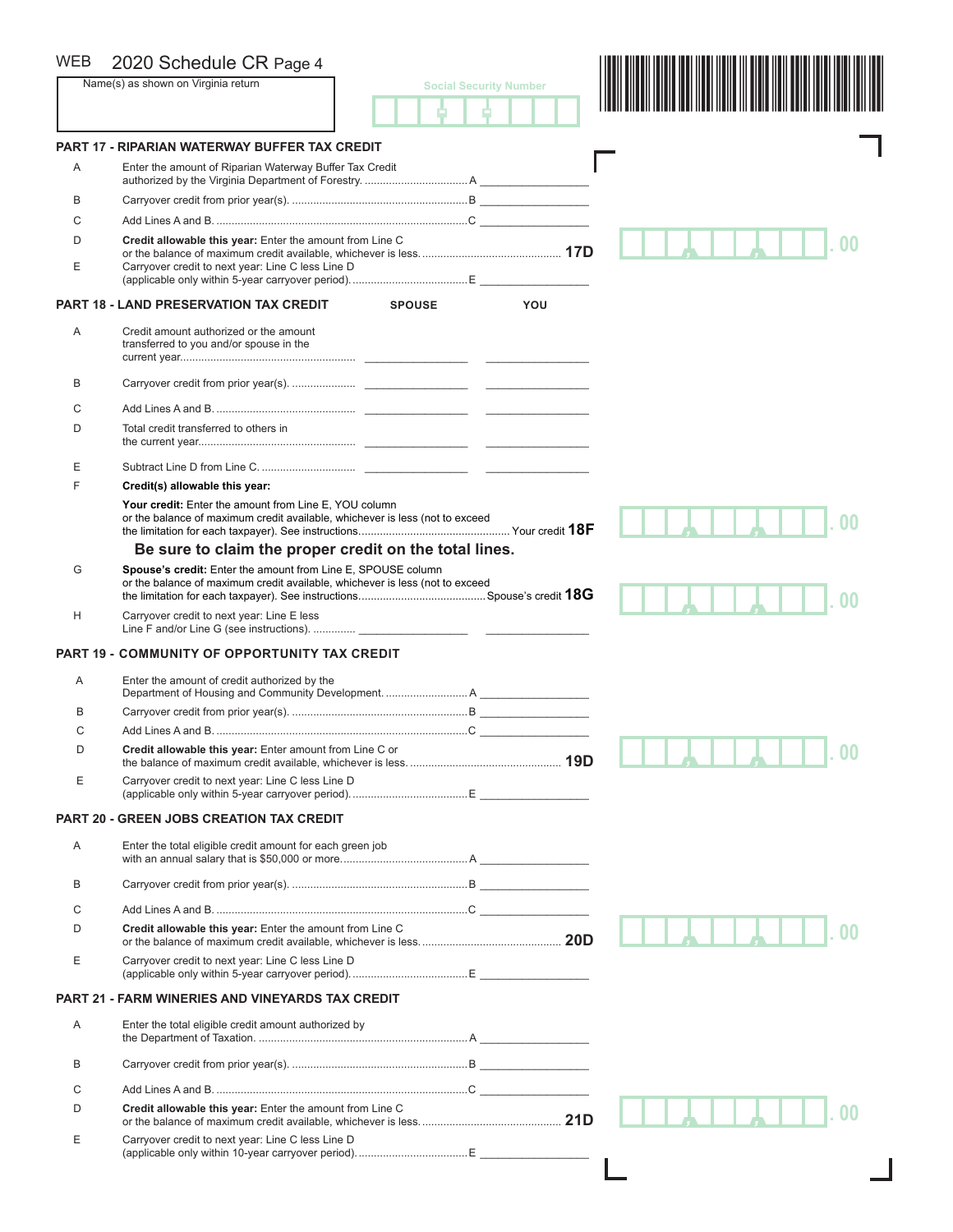| <b>WEB</b> | 2020 Schedule CR Page 4                                                                                                                      |                               |                |
|------------|----------------------------------------------------------------------------------------------------------------------------------------------|-------------------------------|----------------|
|            | Name(s) as shown on Virginia return                                                                                                          | <b>Social Security Number</b> |                |
|            |                                                                                                                                              |                               |                |
|            | <b>PART 17 - RIPARIAN WATERWAY BUFFER TAX CREDIT</b>                                                                                         |                               |                |
| A          | Enter the amount of Riparian Waterway Buffer Tax Credit                                                                                      |                               |                |
| B          |                                                                                                                                              |                               |                |
| C          |                                                                                                                                              |                               |                |
| D          | Credit allowable this year: Enter the amount from Line C                                                                                     |                               |                |
| Ε          | Carryover credit to next year: Line C less Line D                                                                                            |                               |                |
|            | <b>PART 18 - LAND PRESERVATION TAX CREDIT</b><br><b>SPOUSE</b>                                                                               | YOU                           |                |
| A          | Credit amount authorized or the amount<br>transferred to you and/or spouse in the                                                            |                               |                |
| В          |                                                                                                                                              |                               |                |
| С          |                                                                                                                                              |                               |                |
| D          | Total credit transferred to others in                                                                                                        |                               |                |
| Ε          |                                                                                                                                              |                               |                |
| F          | Credit(s) allowable this year:                                                                                                               |                               |                |
|            | Your credit: Enter the amount from Line E, YOU column<br>or the balance of maximum credit available, whichever is less (not to exceed        |                               |                |
|            | Be sure to claim the proper credit on the total lines.                                                                                       |                               |                |
| G          | Spouse's credit: Enter the amount from Line E, SPOUSE column<br>or the balance of maximum credit available, whichever is less (not to exceed |                               |                |
| H          | Carryover credit to next year: Line E less                                                                                                   |                               |                |
|            | <b>PART 19 - COMMUNITY OF OPPORTUNITY TAX CREDIT</b>                                                                                         |                               |                |
| A          | Enter the amount of credit authorized by the                                                                                                 |                               |                |
| в          |                                                                                                                                              |                               |                |
| С          |                                                                                                                                              |                               |                |
| D          | Credit allowable this year: Enter amount from Line C or                                                                                      |                               | 0 <sub>0</sub> |
| Ε          | Carryover credit to next year: Line C less Line D                                                                                            |                               |                |
|            | <b>PART 20 - GREEN JOBS CREATION TAX CREDIT</b>                                                                                              |                               |                |
| A          | Enter the total eligible credit amount for each green job                                                                                    |                               |                |
| В          |                                                                                                                                              |                               |                |
| C          |                                                                                                                                              |                               |                |
| D          | Credit allowable this year: Enter the amount from Line C                                                                                     |                               |                |
| Е          | Carryover credit to next year: Line C less Line D                                                                                            |                               |                |
|            | <b>PART 21 - FARM WINERIES AND VINEYARDS TAX CREDIT</b>                                                                                      |                               |                |
| Α          | Enter the total eligible credit amount authorized by                                                                                         |                               |                |
| В          |                                                                                                                                              |                               |                |
| С          |                                                                                                                                              |                               |                |
| D          | Credit allowable this year: Enter the amount from Line C                                                                                     |                               |                |
| Е          | Carryover credit to next year: Line C less Line D                                                                                            |                               |                |
|            |                                                                                                                                              |                               |                |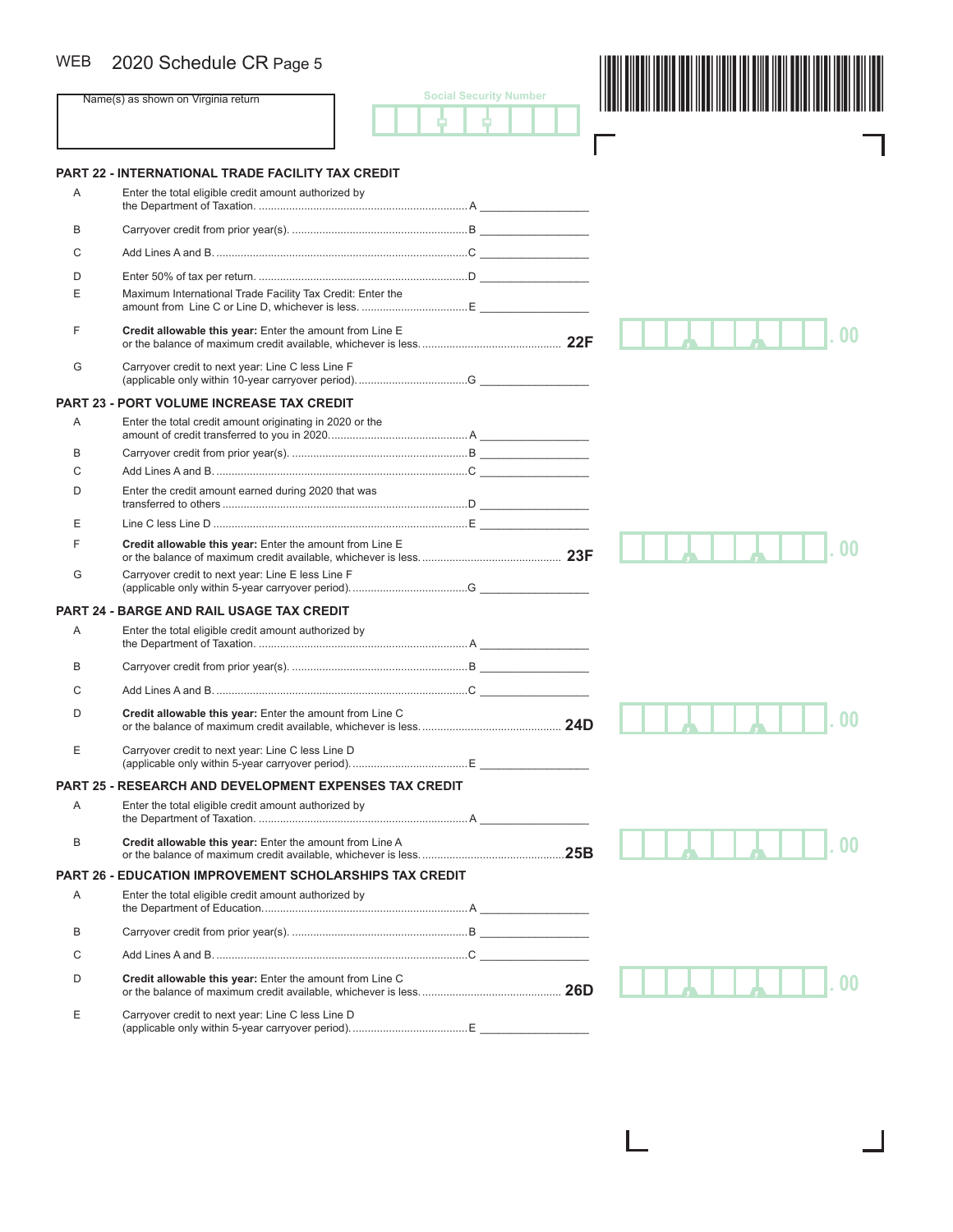## WEB

| <b>WEB</b>     | 2020 Schedule CR Page 5                                        |                               |  |
|----------------|----------------------------------------------------------------|-------------------------------|--|
|                | Name(s) as shown on Virginia return                            | <b>Social Security Number</b> |  |
|                |                                                                |                               |  |
|                | PART 22 - INTERNATIONAL TRADE FACILITY TAX CREDIT              |                               |  |
| Α              | Enter the total eligible credit amount authorized by           |                               |  |
| В              |                                                                |                               |  |
| C              |                                                                |                               |  |
| D              |                                                                |                               |  |
| Ε              | Maximum International Trade Facility Tax Credit: Enter the     |                               |  |
| F              | Credit allowable this year: Enter the amount from Line E       |                               |  |
| G              | Carryover credit to next year: Line C less Line F              |                               |  |
|                | PART 23 - PORT VOLUME INCREASE TAX CREDIT                      |                               |  |
| Α              | Enter the total credit amount originating in 2020 or the       |                               |  |
| В              |                                                                |                               |  |
| C              |                                                                |                               |  |
| D              | Enter the credit amount earned during 2020 that was            |                               |  |
| Ε              |                                                                |                               |  |
| F              | Credit allowable this year: Enter the amount from Line E       |                               |  |
| G              | Carryover credit to next year: Line E less Line F              |                               |  |
| <b>PART 24</b> | <b>BARGE AND RAIL USAGE TAX CREDIT</b>                         |                               |  |
| Α              | Enter the total eligible credit amount authorized by           |                               |  |
| B              |                                                                |                               |  |
| C              |                                                                |                               |  |
| D              | Credit allowable this year: Enter the amount from Line C       |                               |  |
| Ε              | Carryover credit to next year: Line C less Line D              |                               |  |
|                | <b>PART 25 - RESEARCH AND DEVELOPMENT EXPENSES TAX CREDIT</b>  |                               |  |
| Α              | Enter the total eligible credit amount authorized by           |                               |  |
| B              | Credit allowable this year: Enter the amount from Line A       |                               |  |
|                | <b>PART 26 - EDUCATION IMPROVEMENT SCHOLARSHIPS TAX CREDIT</b> |                               |  |
| Α              | Enter the total eligible credit amount authorized by           |                               |  |
| В              |                                                                |                               |  |
| C              |                                                                |                               |  |
| D              | Credit allowable this year: Enter the amount from Line C       |                               |  |
| Е              | Carryover credit to next year: Line C less Line D              |                               |  |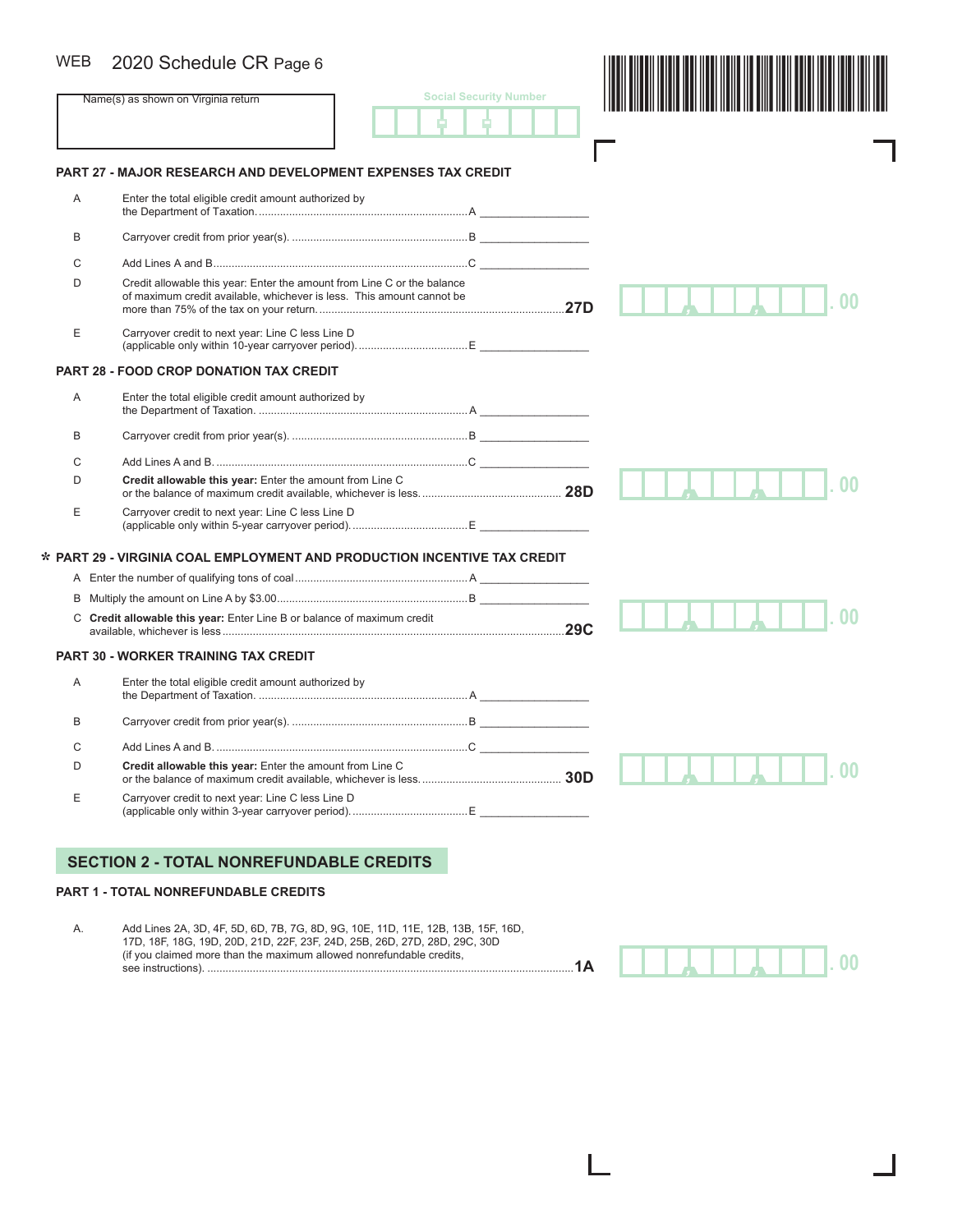#### 2020 Schedule CR Page 6 WEB

| 2020 Schedule CR Page 6                                  |                                                          |                                                                                                                                                                                                                                                                                                                                                                                |
|----------------------------------------------------------|----------------------------------------------------------|--------------------------------------------------------------------------------------------------------------------------------------------------------------------------------------------------------------------------------------------------------------------------------------------------------------------------------------------------------------------------------|
| Name(s) as shown on Virginia return                      | <b>Social Security Number</b>                            |                                                                                                                                                                                                                                                                                                                                                                                |
|                                                          |                                                          |                                                                                                                                                                                                                                                                                                                                                                                |
| Enter the total eligible credit amount authorized by     |                                                          |                                                                                                                                                                                                                                                                                                                                                                                |
|                                                          |                                                          |                                                                                                                                                                                                                                                                                                                                                                                |
|                                                          |                                                          |                                                                                                                                                                                                                                                                                                                                                                                |
|                                                          |                                                          |                                                                                                                                                                                                                                                                                                                                                                                |
| Carryover credit to next year: Line C less Line D        |                                                          |                                                                                                                                                                                                                                                                                                                                                                                |
| <b>PART 28 - FOOD CROP DONATION TAX CREDIT</b>           |                                                          |                                                                                                                                                                                                                                                                                                                                                                                |
| Enter the total eligible credit amount authorized by     |                                                          |                                                                                                                                                                                                                                                                                                                                                                                |
|                                                          |                                                          |                                                                                                                                                                                                                                                                                                                                                                                |
|                                                          |                                                          |                                                                                                                                                                                                                                                                                                                                                                                |
|                                                          |                                                          |                                                                                                                                                                                                                                                                                                                                                                                |
| Carryover credit to next year: Line C less Line D        |                                                          |                                                                                                                                                                                                                                                                                                                                                                                |
|                                                          |                                                          |                                                                                                                                                                                                                                                                                                                                                                                |
|                                                          |                                                          |                                                                                                                                                                                                                                                                                                                                                                                |
|                                                          |                                                          |                                                                                                                                                                                                                                                                                                                                                                                |
|                                                          |                                                          |                                                                                                                                                                                                                                                                                                                                                                                |
| <b>PART 30 - WORKER TRAINING TAX CREDIT</b>              |                                                          |                                                                                                                                                                                                                                                                                                                                                                                |
| Enter the total eligible credit amount authorized by     |                                                          |                                                                                                                                                                                                                                                                                                                                                                                |
|                                                          |                                                          |                                                                                                                                                                                                                                                                                                                                                                                |
|                                                          |                                                          |                                                                                                                                                                                                                                                                                                                                                                                |
|                                                          |                                                          |                                                                                                                                                                                                                                                                                                                                                                                |
| Credit allowable this year: Enter the amount from Line C |                                                          | 00                                                                                                                                                                                                                                                                                                                                                                             |
|                                                          | Credit allowable this year: Enter the amount from Line C | <b>PART 27 - MAJOR RESEARCH AND DEVELOPMENT EXPENSES TAX CREDIT</b><br>Credit allowable this year: Enter the amount from Line C or the balance<br>of maximum credit available, whichever is less. This amount cannot be<br>* PART 29 - VIRGINIA COAL EMPLOYMENT AND PRODUCTION INCENTIVE TAX CREDIT<br>C Credit allowable this year: Enter Line B or balance of maximum credit |

A. Add Lines 2A, 3D, 4F, 5D, 6D, 7B, 7G, 8D, 9G, 10E, 11D, 11E, 12B, 13B, 15F, 16D, 17D, 18F, 18G, 19D, 20D, 21D, 22F, 23F, 24D, 25B, 26D, 27D, 28D, 29C, 30D (if you claimed more than the maximum allowed nonrefundable credits, see instructions). .........................................................................................................................**1A**

*, ,* **. 00**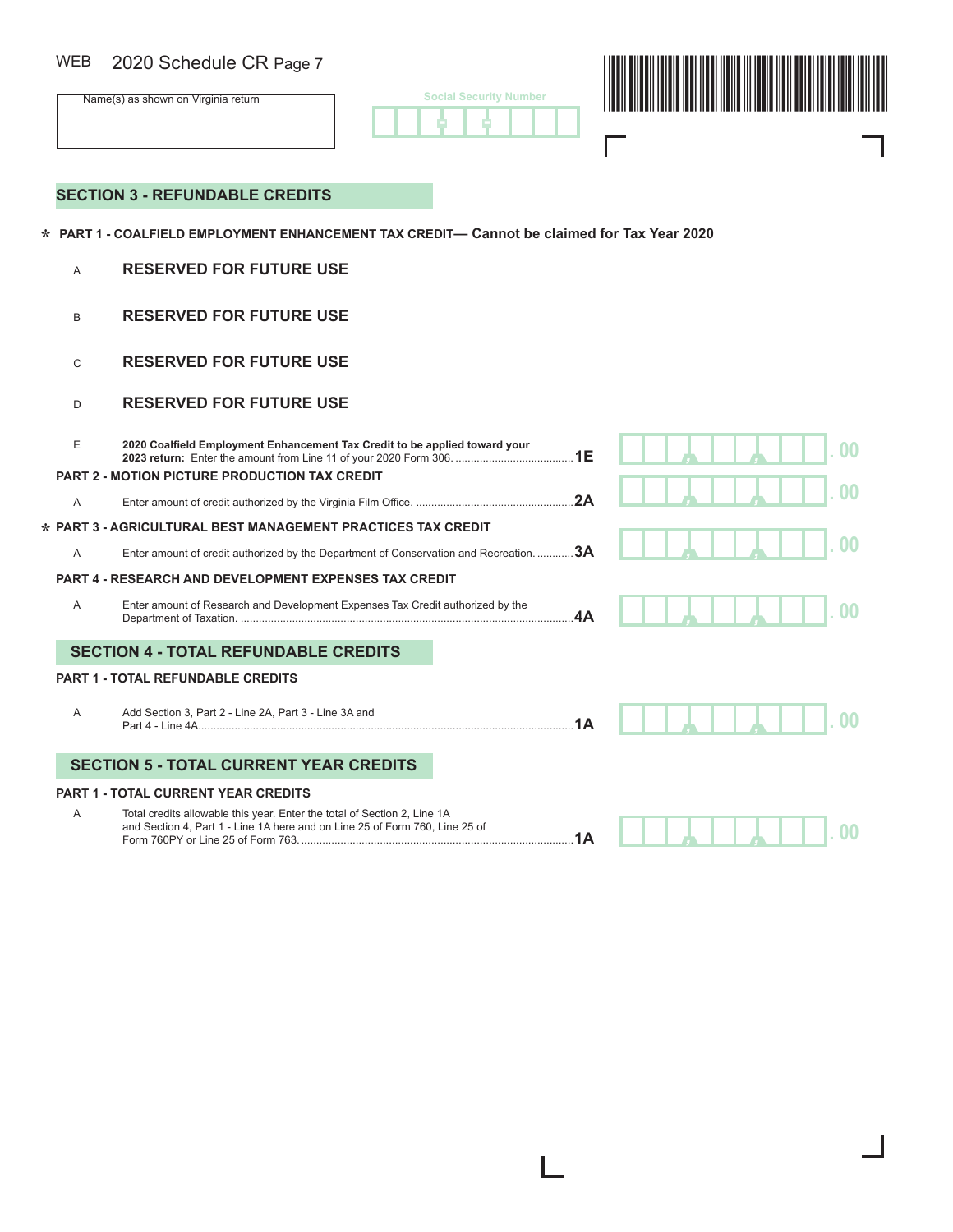## 2020 Schedule CR Page 7 WEB

| WEB<br>2020 Schedule CR Page 7      |                               |  |
|-------------------------------------|-------------------------------|--|
| Name(s) as shown on Virginia return | <b>Social Security Number</b> |  |
|                                     |                               |  |

## **SECTION 3 - REFUNDABLE CREDITS**

 **PART 1 - COALFIELD EMPLOYMENT ENHANCEMENT TAX CREDIT— Cannot be claimed for Tax Year 2020 \***

### A **RESERVED FOR FUTURE USE**

- **B RESERVED FOR FUTURE USE**
- **C RESERVED FOR FUTURE USE**

#### **D** RESERVED FOR FUTURE USE

**\***

| E              | 2020 Coalfield Employment Enhancement Tax Credit to be applied toward your                                                                              |    |  | no |
|----------------|---------------------------------------------------------------------------------------------------------------------------------------------------------|----|--|----|
|                | <b>PART 2 - MOTION PICTURE PRODUCTION TAX CREDIT</b>                                                                                                    |    |  |    |
| $\mathsf{A}$   |                                                                                                                                                         | 2A |  |    |
|                | <b>PART 3 - AGRICULTURAL BEST MANAGEMENT PRACTICES TAX CREDIT</b>                                                                                       |    |  |    |
| $\overline{A}$ | Enter amount of credit authorized by the Department of Conservation and Recreation. 3A                                                                  |    |  |    |
|                | <b>PART 4 - RESEARCH AND DEVELOPMENT EXPENSES TAX CREDIT</b>                                                                                            |    |  |    |
| $\overline{A}$ | Enter amount of Research and Development Expenses Tax Credit authorized by the                                                                          | 4A |  |    |
|                | <b>SECTION 4 - TOTAL REFUNDABLE CREDITS</b>                                                                                                             |    |  |    |
|                | <b>PART 1 - TOTAL REFUNDABLE CREDITS</b>                                                                                                                |    |  |    |
| A              | Add Section 3, Part 2 - Line 2A, Part 3 - Line 3A and                                                                                                   | 1A |  |    |
|                | <b>SECTION 5 - TOTAL CURRENT YEAR CREDITS</b>                                                                                                           |    |  |    |
|                | <b>PART 1 - TOTAL CURRENT YEAR CREDITS</b>                                                                                                              |    |  |    |
| A              | Total credits allowable this year. Enter the total of Section 2, Line 1A<br>and Section 4, Part 1 - Line 1A here and on Line 25 of Form 760, Line 25 of |    |  |    |

H